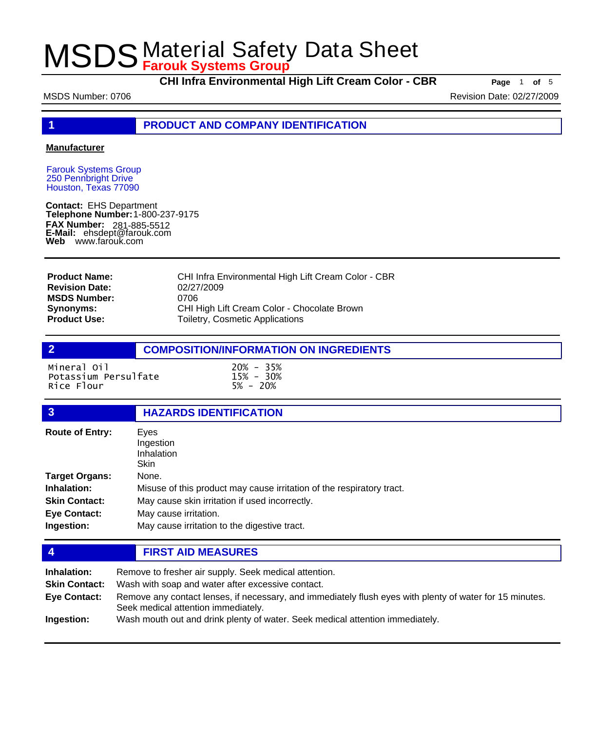**CHI Infra Environmental High Lift Cream Color - CBR Page** <sup>1</sup> **of** <sup>5</sup>

MSDS Number: 0706 **Revision Date: 02/27/2009** Revision Date: 02/27/2009

**1 PRODUCT AND COMPANY IDENTIFICATION**

### **Manufacturer**

Farouk Systems Group 250 Pennbright Drive Houston, Texas 77090

**Contact:** EHS Department **Telephone Number:** 1-800-237-9175 **FAX Number: FAX Number:** 281-885-5512<br>**E-Mail:** ehsdept@farouk.com **Web** www.farouk.com

| <b>Product Name:</b>  | CHI Infra Environmental High Lift Cream Color - CBR |
|-----------------------|-----------------------------------------------------|
| <b>Revision Date:</b> | 02/27/2009                                          |
| <b>MSDS Number:</b>   | 0706                                                |
| <b>Synonyms:</b>      | CHI High Lift Cream Color - Chocolate Brown         |
| <b>Product Use:</b>   | Toiletry, Cosmetic Applications                     |

## **2 COMPOSITION/INFORMATION ON INGREDIENTS**

Mineral Oil 20% - 35% Potassium Persulfate 15% - 30% Rice Flour

## **3 HAZARDS IDENTIFICATION**

| <b>Route of Entry:</b> | Eyes                                                                  |
|------------------------|-----------------------------------------------------------------------|
|                        | Ingestion                                                             |
|                        | Inhalation                                                            |
|                        | <b>Skin</b>                                                           |
| <b>Target Organs:</b>  | None.                                                                 |
| Inhalation:            | Misuse of this product may cause irritation of the respiratory tract. |
| <b>Skin Contact:</b>   | May cause skin irritation if used incorrectly.                        |
| <b>Eye Contact:</b>    | May cause irritation.                                                 |
| Ingestion:             | May cause irritation to the digestive tract.                          |

## **4 FIRST AID MEASURES**

| Inhalation:<br><b>Skin Contact:</b> | Remove to fresher air supply. Seek medical attention.<br>Wash with soap and water after excessive contact.                                      |  |
|-------------------------------------|-------------------------------------------------------------------------------------------------------------------------------------------------|--|
| Eye Contact:                        | Remove any contact lenses, if necessary, and immediately flush eyes with plenty of water for 15 minutes.<br>Seek medical attention immediately. |  |
| Ingestion:                          | Wash mouth out and drink plenty of water. Seek medical attention immediately.                                                                   |  |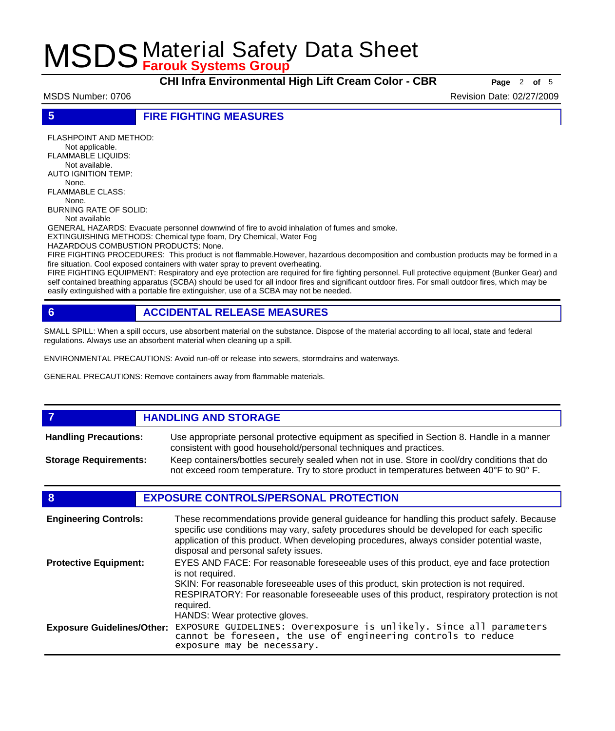**CHI Infra Environmental High Lift Cream Color - CBR Page** <sup>2</sup> **of** <sup>5</sup>

MSDS Number: 0706 Revision Date: 02/27/2009

**5 FIRE FIGHTING MEASURES**

FLASHPOINT AND METHOD: Not applicable. FLAMMABLE LIQUIDS: Not available. AUTO IGNITION TEMP: None. FLAMMABLE CLASS: None. BURNING RATE OF SOLID: Not available

GENERAL HAZARDS: Evacuate personnel downwind of fire to avoid inhalation of fumes and smoke.

EXTINGUISHING METHODS: Chemical type foam, Dry Chemical, Water Fog

HAZARDOUS COMBUSTION PRODUCTS: None.

FIRE FIGHTING PROCEDURES: This product is not flammable.However, hazardous decomposition and combustion products may be formed in a fire situation. Cool exposed containers with water spray to prevent overheating.

FIRE FIGHTING EQUIPMENT: Respiratory and eye protection are required for fire fighting personnel. Full protective equipment (Bunker Gear) and self contained breathing apparatus (SCBA) should be used for all indoor fires and significant outdoor fires. For small outdoor fires, which may be easily extinguished with a portable fire extinguisher, use of a SCBA may not be needed.

## **6 ACCIDENTAL RELEASE MEASURES**

SMALL SPILL: When a spill occurs, use absorbent material on the substance. Dispose of the material according to all local, state and federal regulations. Always use an absorbent material when cleaning up a spill.

ENVIRONMENTAL PRECAUTIONS: Avoid run-off or release into sewers, stormdrains and waterways.

GENERAL PRECAUTIONS: Remove containers away from flammable materials.

### *HANDLING AND STORAGE* Use appropriate personal protective equipment as specified in Section 8. Handle in a manner consistent with good household/personal techniques and practices. **Handling Precautions:** Keep containers/bottles securely sealed when not in use. Store in cool/dry conditions that do not exceed room temperature. Try to store product in temperatures between 40°F to 90° F. **Storage Requirements:**

## **8 EXPOSURE CONTROLS/PERSONAL PROTECTION**

| <b>Engineering Controls:</b>      | These recommendations provide general guideance for handling this product safely. Because<br>specific use conditions may vary, safety procedures should be developed for each specific<br>application of this product. When developing procedures, always consider potential waste,<br>disposal and personal safety issues. |
|-----------------------------------|-----------------------------------------------------------------------------------------------------------------------------------------------------------------------------------------------------------------------------------------------------------------------------------------------------------------------------|
| <b>Protective Equipment:</b>      | EYES AND FACE: For reasonable foreseeable uses of this product, eye and face protection<br>is not required.<br>SKIN: For reasonable foreseeable uses of this product, skin protection is not required.<br>RESPIRATORY: For reasonable foreseeable uses of this product, respiratory protection is not<br>required.          |
| <b>Exposure Guidelines/Other:</b> | HANDS: Wear protective gloves.<br>EXPOSURE GUIDELINES: Overexposure is unlikely. Since all parameters<br>cannot be foreseen, the use of engineering controls to reduce<br>exposure may be necessary.                                                                                                                        |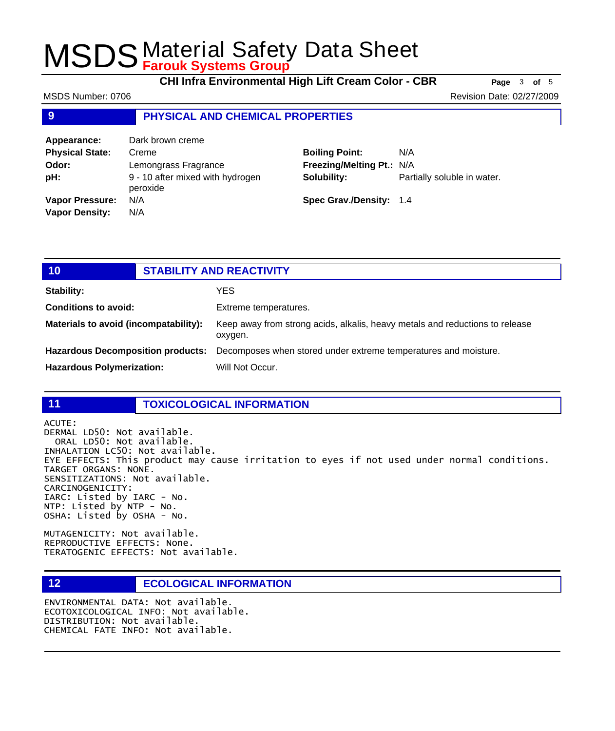**CHI Infra Environmental High Lift Cream Color - CBR Page** <sup>3</sup> **of** <sup>5</sup>

MSDS Number: 0706 **Revision Date: 02/27/2009** Revision Date: 02/27/2009

## **9 PHYSICAL AND CHEMICAL PROPERTIES**

| Appearance:            | Dark brown creme                             |                           |                             |
|------------------------|----------------------------------------------|---------------------------|-----------------------------|
| <b>Physical State:</b> | Creme                                        | <b>Boiling Point:</b>     | N/A                         |
| Odor:                  | Lemongrass Fragrance                         | Freezing/Melting Pt.: N/A |                             |
| pH:                    | 9 - 10 after mixed with hydrogen<br>peroxide | Solubility:               | Partially soluble in water. |
| <b>Vapor Pressure:</b> | N/A                                          | Spec Grav./Density: 1.4   |                             |
| <b>Vapor Density:</b>  | N/A                                          |                           |                             |

| 10 <sub>1</sub>                          | <b>STABILITY AND REACTIVITY</b> |                                                                                         |
|------------------------------------------|---------------------------------|-----------------------------------------------------------------------------------------|
| <b>Stability:</b>                        |                                 | YES.                                                                                    |
| <b>Conditions to avoid:</b>              |                                 | Extreme temperatures.                                                                   |
| Materials to avoid (incompatability):    |                                 | Keep away from strong acids, alkalis, heavy metals and reductions to release<br>oxygen. |
| <b>Hazardous Decomposition products:</b> |                                 | Decomposes when stored under extreme temperatures and moisture.                         |
| <b>Hazardous Polymerization:</b>         |                                 | Will Not Occur.                                                                         |

### **11 TOXICOLOGICAL INFORMATION**

ACUTE:

## DERMAL LD50: Not available. ORAL LD50: Not available. INHALATION LC50: Not available.

EYE EFFECTS: This product may cause irritation to eyes if not used under normal conditions. TARGET ORGANS: NONE. SENSITIZATIONS: Not available. CARCINOGENICITY: IARC: Listed by IARC - No. NTP: Listed by NTP - No. OSHA: Listed by OSHA - No.

MUTAGENICITY: Not available. REPRODUCTIVE EFFECTS: None. TERATOGENIC EFFECTS: Not available.

## **12 ECOLOGICAL INFORMATION**

ENVIRONMENTAL DATA: Not available. ECOTOXICOLOGICAL INFO: Not available. DISTRIBUTION: Not available. CHEMICAL FATE INFO: Not available.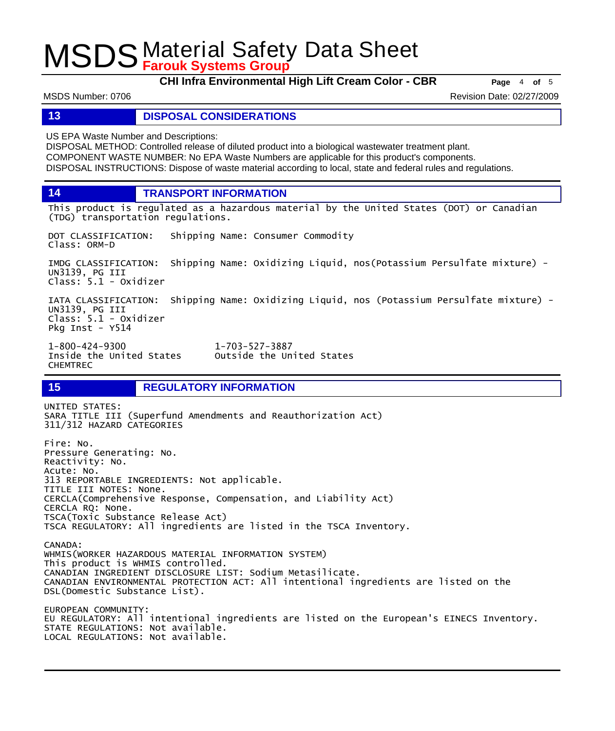**CHI Infra Environmental High Lift Cream Color - CBR Page** <sup>4</sup> **of** <sup>5</sup>

MSDS Number: 0706 Revision Date: 02/27/2009

### **13 DISPOSAL CONSIDERATIONS**

US EPA Waste Number and Descriptions:

DISPOSAL METHOD: Controlled release of diluted product into a biological wastewater treatment plant. COMPONENT WASTE NUMBER: No EPA Waste Numbers are applicable for this product's components. DISPOSAL INSTRUCTIONS: Dispose of waste material according to local, state and federal rules and regulations.

**14 TRANSPORT INFORMATION**

This product is regulated as a hazardous material by the United States (DOT) or Canadian (TDG) transportation regulations.

DOT CLASSIFICATION: Shipping Name: Consumer Commodity Class: ORM-D

IMDG CLASSIFICATION: Shipping Name: Oxidizing Liquid, nos(Potassium Persulfate mixture) - UN3139, PG III Class: 5.1 - Oxidizer

IATA CLASSIFICATION: Shipping Name: Oxidizing Liquid, nos (Potassium Persulfate mixture) - UN3139, PG III Class: 5.1 - Oxidizer Pkg Inst - Y514

Outside the United States

1-800-424-9300 1-703-527-3887 CHEMTREC

**15 REGULATORY INFORMATION**

UNITED STATES: SARA TITLE III (Superfund Amendments and Reauthorization Act) 311/312 HAZARD CATEGORIES Fire: No. Pressure Generating: No. Reactivity: No. Acute: No. 313 REPORTABLE INGREDIENTS: Not applicable. TITLE III NOTES: None. CERCLA(Comprehensive Response, Compensation, and Liability Act) CERCLA RQ: None. TSCA(Toxic Substance Release Act) TSCA REGULATORY: All ingredients are listed in the TSCA Inventory. CANADA: WHMIS(WORKER HAZARDOUS MATERIAL INFORMATION SYSTEM) This product is WHMIS controlled. CANADIAN INGREDIENT DISCLOSURE LIST: Sodium Metasilicate. CANADIAN ENVIRONMENTAL PROTECTION ACT: All intentional ingredients are listed on the DSL(Domestic Substance List). EUROPEAN COMMUNITY: EU REGULATORY: All intentional ingredients are listed on the European's EINECS Inventory. STATE REGULATIONS: Not available.

LOCAL REGULATIONS: Not available.